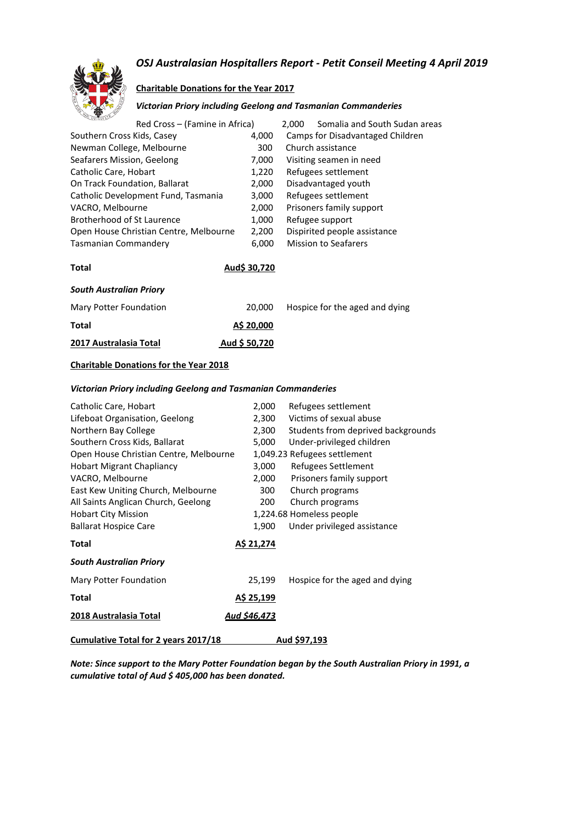#### *OSJ Australasian Hospitallers Report - Petit Conseil Meeting 4 April 2019*



#### **Charitable Donations for the Year 2017**

#### *Victorian Priory including Geelong and Tasmanian Commanderies*

| <b>CONTRACTOR</b><br>Red Cross – (Famine in Africa) |              | 2.000 | Somalia and South Sudan areas    |
|-----------------------------------------------------|--------------|-------|----------------------------------|
| Southern Cross Kids, Casey                          | 4,000        |       | Camps for Disadvantaged Children |
| Newman College, Melbourne                           | 300          |       | Church assistance                |
| Seafarers Mission, Geelong                          | 7,000        |       | Visiting seamen in need          |
| Catholic Care, Hobart                               | 1,220        |       | Refugees settlement              |
| On Track Foundation, Ballarat                       | 2,000        |       | Disadvantaged youth              |
| Catholic Development Fund, Tasmania                 | 3,000        |       | Refugees settlement              |
| VACRO, Melbourne                                    | 2,000        |       | Prisoners family support         |
| Brotherhood of St Laurence                          | 1,000        |       | Refugee support                  |
| Open House Christian Centre, Melbourne              | 2,200        |       | Dispirited people assistance     |
| Tasmanian Commandery                                | 6,000        |       | <b>Mission to Seafarers</b>      |
| Total                                               | Aud\$ 30.720 |       |                                  |

#### *South Australian Priory*

| Mary Potter Foundation | 20.000        | Hospice for the aged and dying |
|------------------------|---------------|--------------------------------|
| Total                  | A\$ 20,000    |                                |
| 2017 Australasia Total | Aud \$ 50.720 |                                |

#### **Charitable Donations for the Year 2018**

#### *Victorian Priory including Geelong and Tasmanian Commanderies*

| Catholic Care, Hobart                       | 2,000               | Refugees settlement                |
|---------------------------------------------|---------------------|------------------------------------|
| Lifeboat Organisation, Geelong              | 2,300               | Victims of sexual abuse            |
| Northern Bay College                        | 2,300               | Students from deprived backgrounds |
| Southern Cross Kids, Ballarat               | 5,000               | Under-privileged children          |
| Open House Christian Centre, Melbourne      |                     | 1,049.23 Refugees settlement       |
| <b>Hobart Migrant Chapliancy</b>            | 3,000               | Refugees Settlement                |
| VACRO, Melbourne                            | 2,000               | Prisoners family support           |
| East Kew Uniting Church, Melbourne          | 300 l               | Church programs                    |
| All Saints Anglican Church, Geelong         | 200                 | Church programs                    |
| <b>Hobart City Mission</b>                  |                     | 1,224.68 Homeless people           |
| <b>Ballarat Hospice Care</b>                | 1,900               | Under privileged assistance        |
| Total                                       | <u>A\$ 21,274</u>   |                                    |
| <b>South Australian Priory</b>              |                     |                                    |
| Mary Potter Foundation                      | 25,199              | Hospice for the aged and dying     |
| Total                                       | A\$ 25,199          |                                    |
| 2018 Australasia Total                      | <u>Aud \$46,473</u> |                                    |
| <b>Cumulative Total for 2 years 2017/18</b> |                     | Aud \$97,193                       |

*Note: Since support to the Mary Potter Foundation began by the South Australian Priory in 1991, a cumulative total of Aud \$ 405,000 has been donated.*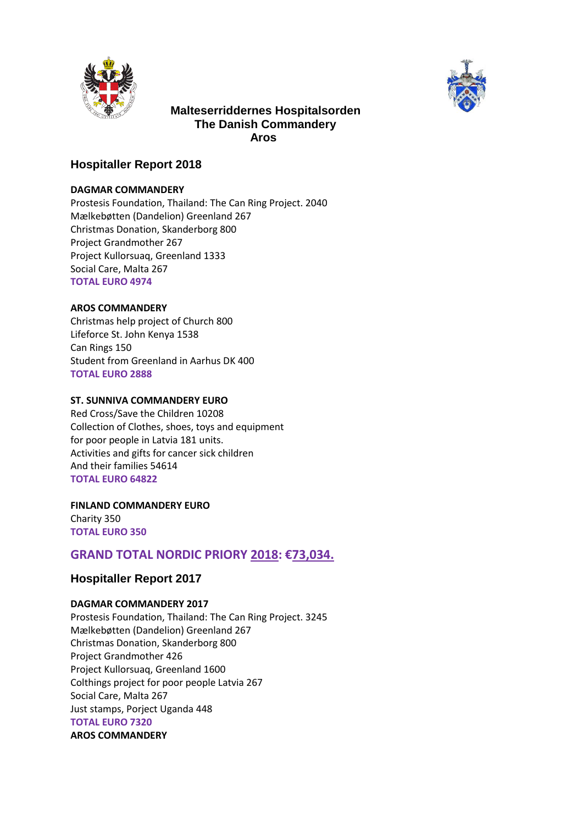



### **Malteserriddernes Hospitalsorden The Danish Commandery Aros**

#### **Hospitaller Report 2018**

#### **DAGMAR COMMANDERY**

Prostesis Foundation, Thailand: The Can Ring Project. 2040 Mælkebøtten (Dandelion) Greenland 267 Christmas Donation, Skanderborg 800 Project Grandmother 267 Project Kullorsuaq, Greenland 1333 Social Care, Malta 267 **TOTAL EURO 4974** 

#### **AROS COMMANDERY**

Christmas help project of Church 800 Lifeforce St. John Kenya 1538 Can Rings 150 Student from Greenland in Aarhus DK 400 **TOTAL EURO 2888** 

#### **ST. SUNNIVA COMMANDERY EURO**

Red Cross/Save the Children 10208 Collection of Clothes, shoes, toys and equipment for poor people in Latvia 181 units. Activities and gifts for cancer sick children And their families 54614 **TOTAL EURO 64822** 

**FINLAND COMMANDERY EURO**  Charity 350 **TOTAL EURO 350** 

## **GRAND TOTAL NORDIC PRIORY 2018: €73,034.**

#### **Hospitaller Report 2017**

#### **DAGMAR COMMANDERY 2017**

Prostesis Foundation, Thailand: The Can Ring Project. 3245 Mælkebøtten (Dandelion) Greenland 267 Christmas Donation, Skanderborg 800 Project Grandmother 426 Project Kullorsuaq, Greenland 1600 Colthings project for poor people Latvia 267 Social Care, Malta 267 Just stamps, Porject Uganda 448 **TOTAL EURO 7320 AROS COMMANDERY**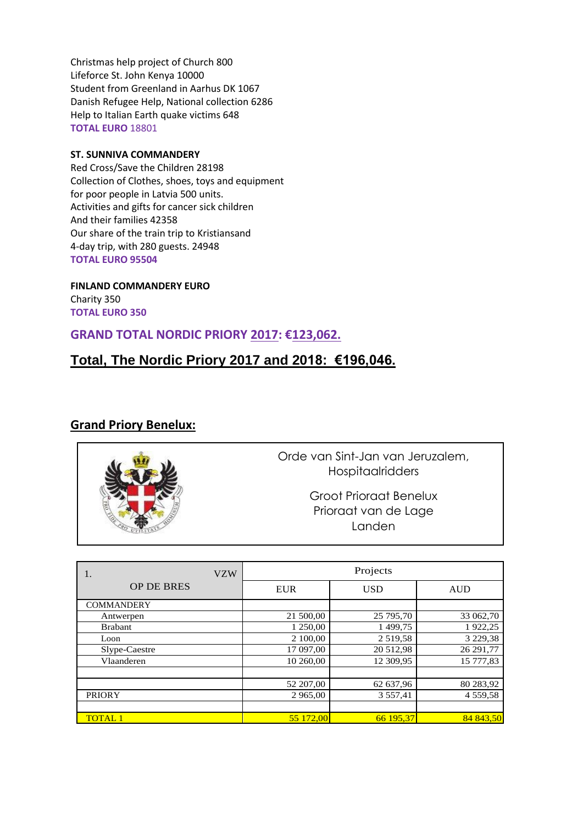Christmas help project of Church 800 Lifeforce St. John Kenya 10000 Student from Greenland in Aarhus DK 1067 Danish Refugee Help, National collection 6286 Help to Italian Earth quake victims 648 **TOTAL EURO** 18801

#### **ST. SUNNIVA COMMANDERY**

Red Cross/Save the Children 28198 Collection of Clothes, shoes, toys and equipment for poor people in Latvia 500 units. Activities and gifts for cancer sick children And their families 42358 Our share of the train trip to Kristiansand 4-day trip, with 280 guests. 24948 **TOTAL EURO 95504** 

**FINLAND COMMANDERY EURO**  Charity 350 **TOTAL EURO 350** 

## **GRAND TOTAL NORDIC PRIORY 2017: €123,062.**

## **Total, The Nordic Priory 2017 and 2018: €196,046.**

#### **Grand Priory Benelux:**



Orde van Sint-Jan van Jeruzalem, **Hospitaalridders** 

> Groot Prioraat Benelux Prioraat van de Lage Landen

> > Projects 2017

| <b>VZW</b>        |            | Projects    |               |
|-------------------|------------|-------------|---------------|
| <b>OP DE BRES</b> | <b>EUR</b> | <b>USD</b>  | <b>AUD</b>    |
| <b>COMMANDERY</b> |            |             |               |
| Antwerpen         | 21 500,00  | 25 795,70   | 33 062,70     |
| <b>Brabant</b>    | 1 250,00   | 1499,75     | 1922,25       |
| Loon              | 2 100,00   | 2 5 19 5 8  | 3 2 2 9 , 3 8 |
| Slype-Caestre     | 17 097,00  | 20 512,98   | 26 291,77     |
| Vlaanderen        | 10 260,00  | 12 309,95   | 15 777,83     |
|                   |            |             |               |
|                   | 52 207,00  | 62 637,96   | 80 283,92     |
| <b>PRIORY</b>     | 2 965,00   | 3 5 5 7 .41 | 4 5 5 9 , 5 8 |
|                   |            |             |               |
| <b>TOTAL 1</b>    | 55 172.00  | 66 195.37   | 84 843.50     |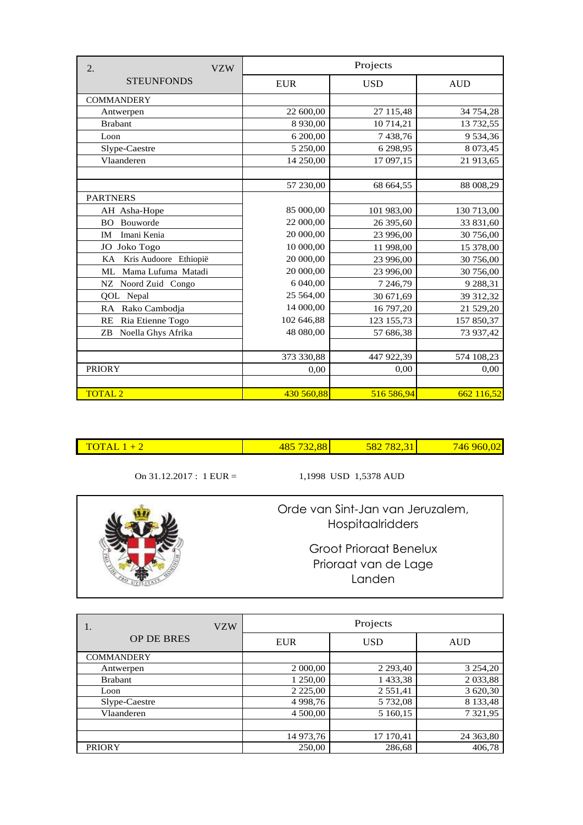| 2.<br><b>VZW</b>            |            | Projects   |             |
|-----------------------------|------------|------------|-------------|
| <b>STEUNFONDS</b>           | <b>EUR</b> | <b>USD</b> | <b>AUD</b>  |
| <b>COMMANDERY</b>           |            |            |             |
| Antwerpen                   | 22 600,00  | 27 115,48  | 34 754,28   |
| <b>Brabant</b>              | 8 9 3 0,00 | 10 714,21  | 13 732,55   |
| Loon                        | 6 200,00   | 7438,76    | 9 534,36    |
| Slype-Caestre               | 5 250,00   | 6 298,95   | 8 0 73,45   |
| Vlaanderen                  | 14 250,00  | 17 097,15  | 21 913,65   |
|                             |            |            |             |
|                             | 57 230,00  | 68 664,55  | 88 008,29   |
| <b>PARTNERS</b>             |            |            |             |
| AH Asha-Hope                | 85 000,00  | 101 983,00 | 130 713,00  |
| Bouworde<br>BO.             | 22 000,00  | 26 395,60  | 33 831,60   |
| Imani Kenia<br><b>IM</b>    | 20 000,00  | 23 996,00  | 30 756,00   |
| Joko Togo<br>JO             | 10 000,00  | 11 998,00  | 15 378,00   |
| Kris Audoore Ethiopië<br>KA | 20 000,00  | 23 996,00  | 30 756,00   |
| Mama Lufuma Matadi<br>ML    | 20 000,00  | 23 996,00  | 30 756,00   |
| Noord Zuid Congo<br>NZ      | 6 040,00   | 7 246,79   | 9 2 8 8, 31 |
| QOL Nepal                   | 25 564,00  | 30 671,69  | 39 312,32   |
| RA Rako Cambodja            | 14 000,00  | 16 797,20  | 21 529,20   |
| Ria Etienne Togo<br>RE      | 102 646,88 | 123 155,73 | 157 850,37  |
| Noella Ghys Afrika<br>ZB    | 48 080,00  | 57 686,38  | 73 937,42   |
|                             |            |            |             |
|                             | 373 330,88 | 447 922,39 | 574 108,23  |
| <b>PRIORY</b>               | 0,00       | 0,00       | 0.00        |
|                             |            |            |             |
| <b>TOTAL 2</b>              | 430 560,88 | 516 586,94 | 662 116,52  |

| <b>TOTAL</b> | 88 | ৲୪≿<br><u> UZAJ 10.</u> | <sup>7</sup> 46 960.02 |
|--------------|----|-------------------------|------------------------|
|              |    |                         |                        |

On 31.12.2017 : 1 EUR = 1,1998 USD 1,5378 AUD

Orde van Sint-Jan van Jeruzalem, Hospitaalridders

> Groot Prioraat Benelux Prioraat van de Lage Landen

| <b>VZW</b><br>1.  |             | Projects    |               |
|-------------------|-------------|-------------|---------------|
| <b>OP DE BRES</b> | <b>EUR</b>  | <b>USD</b>  | <b>AUD</b>    |
| <b>COMMANDERY</b> |             |             |               |
| Antwerpen         | 2 000,00    | 2 2 9 3 4 0 | 3 2 5 4 , 2 0 |
| <b>Brabant</b>    | 1 250,00    | 1 433,38    | 2 0 3 3, 8 8  |
| Loon              | 2 2 2 5 0 0 | 2 5 5 1 4 1 | 3 620,30      |
| Slype-Caestre     | 4 9 98, 76  | 5 732,08    | 8 133,48      |
| Vlaanderen        | 4 500,00    | 5 160,15    | 7 3 2 1 , 9 5 |
|                   |             |             |               |
|                   | 14 973,76   | 17 170,41   | 24 363,80     |
| <b>PRIORY</b>     | 250,00      | 286,68      | 406,78        |

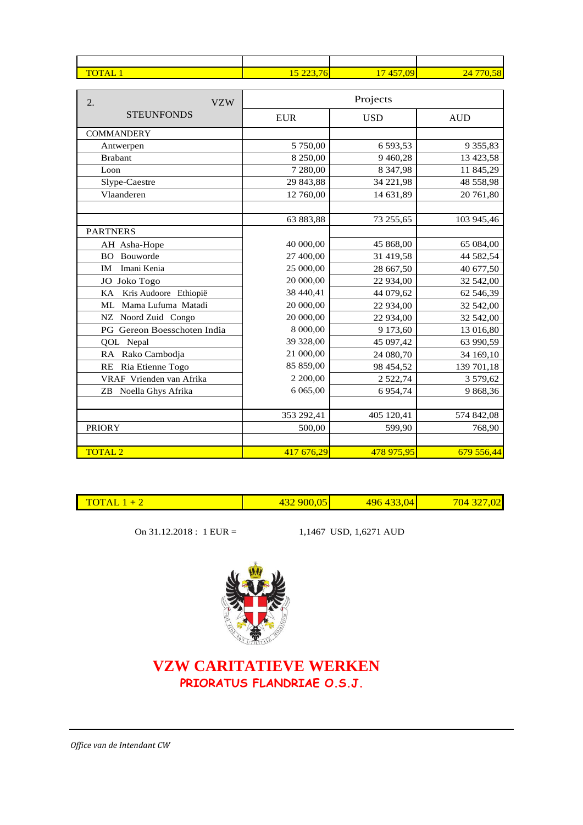| <b>TOTAL</b> | 15.002.74<br>$\sim$<br>v<br><u> 223, 1</u><br><u> 27</u> | /09<br>17457 | .58<br>247 |
|--------------|----------------------------------------------------------|--------------|------------|
|              |                                                          |              |            |

| <b>VZW</b><br>2.            |             | Projects      |               |
|-----------------------------|-------------|---------------|---------------|
| <b>STEUNFONDS</b>           | ${\rm EUR}$ | <b>USD</b>    | <b>AUD</b>    |
| <b>COMMANDERY</b>           |             |               |               |
| Antwerpen                   | 5 750,00    | 6 593,53      | 9 3 5 5 , 8 3 |
| <b>Brabant</b>              | 8 250,00    | 9 4 6 0, 28   | 13 423,58     |
| Loon                        | 7 280,00    | 8 3 4 7, 9 8  | 11 845,29     |
| Slype-Caestre               | 29 843,88   | 34 221,98     | 48 558,98     |
| Vlaanderen                  | 12 760,00   | 14 631,89     | 20 761,80     |
|                             |             |               |               |
|                             | 63 883,88   | 73 255,65     | 103 945,46    |
| <b>PARTNERS</b>             |             |               |               |
| AH Asha-Hope                | 40 000,00   | 45 868,00     | 65 084,00     |
| Bouworde<br><b>BO</b>       | 27 400,00   | 31 419,58     | 44 582,54     |
| Imani Kenia<br>IM           | 25 000,00   | 28 667,50     | 40 677,50     |
| JO Joko Togo                | 20 000,00   | 22 934,00     | 32 542,00     |
| KA<br>Kris Audoore Ethiopië | 38 440,41   | 44 079,62     | 62 546,39     |
| Mama Lufuma Matadi<br>ML    | 20 000,00   | 22 934,00     | 32 542,00     |
| NZ Noord Zuid Congo         | 20 000,00   | 22 934,00     | 32 542,00     |
| PG Gereon Boesschoten India | 8 000,00    | 9 173,60      | 13 016,80     |
| QOL Nepal                   | 39 328,00   | 45 097,42     | 63 990,59     |
| RA Rako Cambodja            | 21 000,00   | 24 080,70     | 34 169,10     |
| Ria Etienne Togo<br>RE      | 85 859,00   | 98 454,52     | 139 701,18    |
| VRAF Vrienden van Afrika    | 2 200,00    | 2 5 2 2 , 7 4 | 3 579,62      |
| ZB Noella Ghys Afrika       | 6 0 6 5,00  | 6 9 5 4 , 7 4 | 9 868,36      |
|                             |             |               |               |
|                             | 353 292,41  | 405 120,41    | 574 842,08    |
| <b>PRIORY</b>               | 500,00      | 599,90        | 768,90        |
|                             |             |               |               |
| <b>TOTAL 2</b>              | 417 676,29  | 478 975,95    | 679 556,44    |

| --<br>- -<br><b>Service Service</b> | $\Omega$ | $\overline{0}$<br>- | $\sim$ $\sim$<br>$\mathbf{M}$<br>w |
|-------------------------------------|----------|---------------------|------------------------------------|
|                                     |          |                     |                                    |

On 31.12.2018 : 1 EUR = 1,1467 USD, 1,6271 AUD



## **VZW CARITATIEVE WERKEN PRIORATUS FLANDRIAE O.S.J.**

*Office van de Intendant CW*

 $\overline{\phantom{a}}$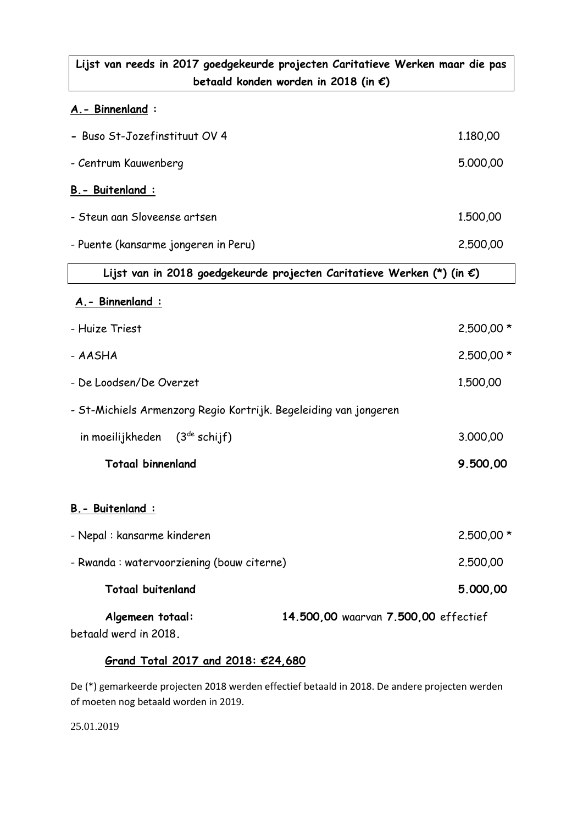## **Lijst van reeds in 2017 goedgekeurde projecten Caritatieve Werken maar die pas betaald konden worden in 2018 (in €)**

### **A.- Binnenland :**

| - Buso St-Jozefinstituut OV 4                                    |                                                                                  | 1.180,00   |
|------------------------------------------------------------------|----------------------------------------------------------------------------------|------------|
| - Centrum Kauwenberg                                             |                                                                                  | 5,000,00   |
| B. - Buitenland :                                                |                                                                                  |            |
| - Steun aan Sloveense artsen                                     |                                                                                  | 1,500,00   |
| - Puente (kansarme jongeren in Peru)                             |                                                                                  | 2,500,00   |
|                                                                  | Lijst van in 2018 goedgekeurde projecten Caritatieve Werken (*) (in $\epsilon$ ) |            |
| A. - Binnenland :                                                |                                                                                  |            |
| - Huize Triest                                                   |                                                                                  | 2.500,00 * |
| - AASHA                                                          |                                                                                  | 2.500,00 * |
| - De Loodsen/De Overzet                                          |                                                                                  | 1.500,00   |
| - St-Michiels Armenzorg Regio Kortrijk. Begeleiding van jongeren |                                                                                  |            |
| in moeilijkheden (3 <sup>de</sup> schijf)                        |                                                                                  | 3.000,00   |
| <b>Totaal binnenland</b>                                         |                                                                                  | 9.500,00   |
| B. - Buitenland :                                                |                                                                                  |            |
| - Nepal: kansarme kinderen                                       |                                                                                  | 2.500,00 * |
| - Rwanda : watervoorziening (bouw citerne)                       |                                                                                  | 2,500,00   |
| <b>Totaal buitenland</b>                                         |                                                                                  | 5.000,00   |
| Algemeen totaal:<br>betaald werd in 2018.                        | 14.500,00 waarvan 7.500,00 effectief                                             |            |

## **Grand Total 2017 and 2018: €24,680**

De (\*) gemarkeerde projecten 2018 werden effectief betaald in 2018. De andere projecten werden of moeten nog betaald worden in 2019.

25.01.2019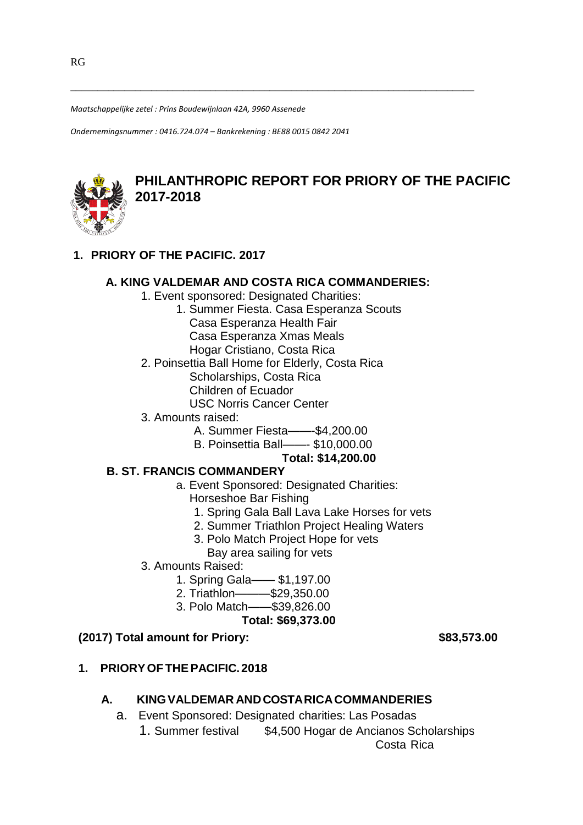*Maatschappelijke zetel : Prins Boudewijnlaan 42A, 9960 Assenede*

*Ondernemingsnummer : 0416.724.074 – Bankrekening : BE88 0015 0842 2041*



## **PHILANTHROPIC REPORT FOR PRIORY OF THE PACIFIC 2017-2018**

## **1. PRIORY OF THE PACIFIC. 2017**

#### **A. KING VALDEMAR AND COSTA RICA COMMANDERIES:**

\_\_\_\_\_\_\_\_\_\_\_\_\_\_\_\_\_\_\_\_\_\_\_\_\_\_\_\_\_\_\_\_\_\_\_\_\_\_\_\_\_\_\_\_\_\_\_\_\_\_\_\_\_\_\_\_\_\_\_\_\_\_\_\_\_\_\_\_\_\_\_\_\_\_\_

- 1. Event sponsored: Designated Charities:
	- 1. Summer Fiesta. Casa Esperanza Scouts
		- Casa Esperanza Health Fair
		- Casa Esperanza Xmas Meals
		- Hogar Cristiano, Costa Rica
- 2. Poinsettia Ball Home for Elderly, Costa Rica
	- Scholarships, Costa Rica
	- Children of Ecuador
	- USC Norris Cancer Center
- 3. Amounts raised:
	- A. Summer Fiesta——-\$4,200.00
	- B. Poinsettia Ball——- \$10,000.00

#### **Total: \$14,200.00**

#### **B. ST. FRANCIS COMMANDERY**

- a. Event Sponsored: Designated Charities:
	- Horseshoe Bar Fishing
	- 1. Spring Gala Ball Lava Lake Horses for vets
	- 2. Summer Triathlon Project Healing Waters
	- 3. Polo Match Project Hope for vets
		- Bay area sailing for vets
- 3. Amounts Raised:
	- 1. Spring Gala—— \$1,197.00
	- 2. Triathlon———\$29,350.00
	- 3. Polo Match——\$39,826.00
		- **Total: \$69,373.00**

#### **(2017) Total amount for Priory: \$83,573.00**

**1. PRIORYOFTHEPACIFIC.2018**

## **A. KINGVALDEMAR ANDCOSTARICACOMMANDERIES**

- a. Event Sponsored: Designated charities: Las Posadas
	- 1. Summer festival \$4,500 Hogar de Ancianos Scholarships Costa Rica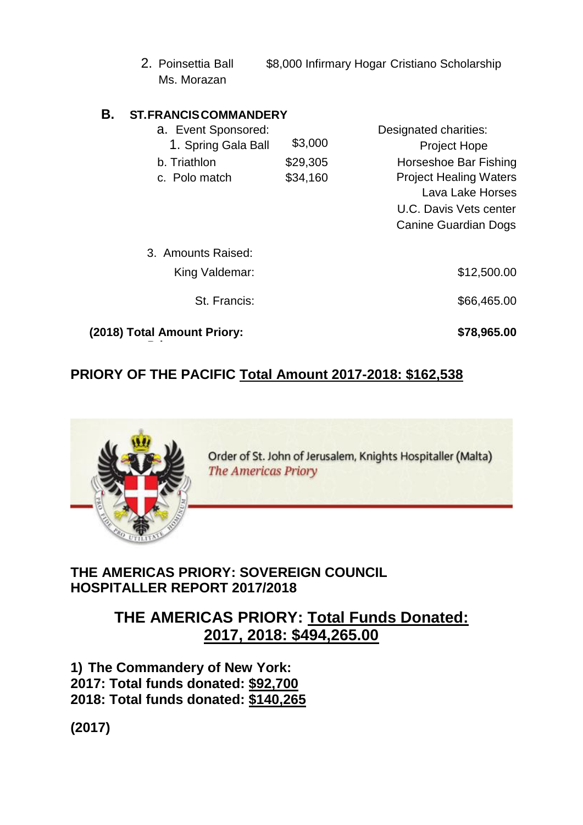2. Poinsettia Ball \$8,000 Infirmary Hogar Cristiano Scholarship Ms. Morazan

## **B. ST.FRANCISCOMMANDERY**

| a. Event Sponsored:         |          | Designated charities:         |
|-----------------------------|----------|-------------------------------|
| 1. Spring Gala Ball         | \$3,000  | <b>Project Hope</b>           |
| b. Triathlon                | \$29,305 | Horseshoe Bar Fishing         |
| c. Polo match               | \$34,160 | <b>Project Healing Waters</b> |
|                             |          | Lava Lake Horses              |
|                             |          | U.C. Davis Vets center        |
|                             |          | Canine Guardian Dogs          |
|                             |          |                               |
| 3. Amounts Raised:          |          |                               |
| King Valdemar:              |          | \$12,500.00                   |
|                             |          |                               |
| St. Francis:                |          | \$66,465.00                   |
|                             |          |                               |
| (2018) Total Amount Priory: |          | \$78,965.00                   |
|                             |          |                               |

# **PRIORY OF THE PACIFIC Total Amount 2017-2018: \$162,538**



Order of St. John of Jerusalem, Knights Hospitaller (Malta) **The Americas Priory** 

# **THE AMERICAS PRIORY: SOVEREIGN COUNCIL HOSPITALLER REPORT 2017/2018**

# **THE AMERICAS PRIORY: Total Funds Donated: 2017, 2018: \$494,265.00**

**1) The Commandery of New York: 2017: Total funds donated: \$92,700 2018: Total funds donated: \$140,265**

**(2017)**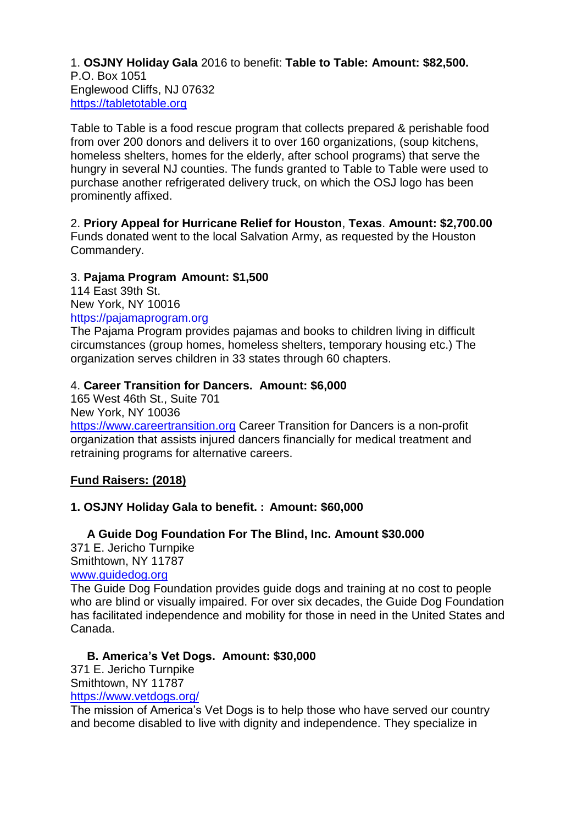#### 1. **OSJNY Holiday Gala** 2016 to benefit: **Table to Table: Amount: \$82,500.** P.O. Box 1051 Englewood Cliffs, NJ 07632 [https://tabletotable.org](https://tabletotable.org/)

Table to Table is a food rescue program that collects prepared & perishable food from over 200 donors and delivers it to over 160 organizations, (soup kitchens, homeless shelters, homes for the elderly, after school programs) that serve the hungry in several NJ counties. The funds granted to Table to Table were used to purchase another refrigerated delivery truck, on which the OSJ logo has been prominently affixed.

### 2. **Priory Appeal for Hurricane Relief for Houston**, **Texas**. **Amount: \$2,700.00**

Funds donated went to the local Salvation Army, as requested by the Houston Commandery.

### 3. **Pajama Program Amount: \$1,500**

114 East 39th St. New York, NY 10016 https://pajamaprogram.org

The Pajama Program provides pajamas and books to children living in difficult circumstances (group homes, homeless shelters, temporary housing etc.) The organization serves children in 33 states through 60 chapters.

### 4. **Career Transition for Dancers. Amount: \$6,000**

165 West 46th St., Suite 701 New York, NY 10036 [https://www.careertransition.org](https://www.careertransition.org/) Career Transition for Dancers is a non-profit organization that assists injured dancers financially for medical treatment and retraining programs for alternative careers.

## **Fund Raisers: (2018)**

## **1. OSJNY Holiday Gala to benefit. : Amount: \$60,000**

 **A Guide Dog Foundation For The Blind, Inc. Amount \$30.000** 371 E. Jericho Turnpike Smithtown, NY 11787 [www.guidedog.org](http://www.guidedog.org/)

The Guide Dog Foundation provides guide dogs and training at no cost to people who are blind or visually impaired. For over six decades, the Guide Dog Foundation has facilitated independence and mobility for those in need in the United States and Canada.

## **B. America's Vet Dogs. Amount: \$30,000**

371 E. Jericho Turnpike Smithtown, NY 11787 <https://www.vetdogs.org/>

The mission of America's Vet Dogs is to help those who have served our country and become disabled to live with dignity and independence. They specialize in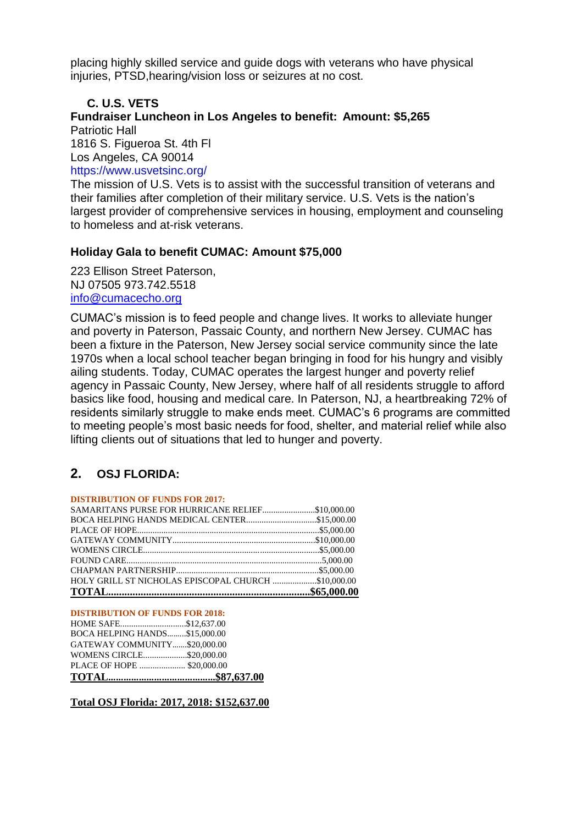placing highly skilled service and guide dogs with veterans who have physical injuries, PTSD,hearing/vision loss or seizures at no cost.

## **C. U.S. VETS**

**Fundraiser Luncheon in Los Angeles to benefit: Amount: \$5,265** Patriotic Hall

1816 S. Figueroa St. 4th Fl

Los Angeles, CA 90014

https://www.usvetsinc.org/

The mission of U.S. Vets is to assist with the successful transition of veterans and their families after completion of their military service. U.S. Vets is the nation's largest provider of comprehensive services in housing, employment and counseling to homeless and at-risk veterans.

### **Holiday Gala to benefit CUMAC: Amount \$75,000**

223 Ellison Street Paterson, NJ 07505 973.742.5518 [info@cumacecho.org](mailto:info@cumacecho.org)

CUMAC's mission is to feed people and change lives. It works to alleviate hunger and poverty in Paterson, Passaic County, and northern New Jersey. CUMAC has been a fixture in the Paterson, New Jersey social service community since the late 1970s when a local school teacher began bringing in food for his hungry and visibly ailing students. Today, CUMAC operates the largest hunger and poverty relief agency in Passaic County, New Jersey, where half of all residents struggle to afford basics like food, housing and medical care. In Paterson, NJ, a heartbreaking 72% of residents similarly struggle to make ends meet. CUMAC's 6 programs are committed to meeting people's most basic needs for food, shelter, and material relief while also lifting clients out of situations that led to hunger and poverty.

## **2. OSJ FLORIDA:**

#### **DISTRIBUTION OF FUNDS FOR 2017:**

| HOLY GRILL ST NICHOLAS EPISCOPAL CHURCH \$10,000.00 |  |
|-----------------------------------------------------|--|
|                                                     |  |
|                                                     |  |
|                                                     |  |
|                                                     |  |
|                                                     |  |
| BOCA HELPING HANDS MEDICAL CENTER\$15,000.00        |  |
|                                                     |  |

#### **DISTRIBUTION OF FUNDS FOR 2018:**

| PLACE OF HOPE  \$20,000.00    |  |
|-------------------------------|--|
| WOMENS CIRCLE\$20,000.00      |  |
| GATEWAY COMMUNITY\$20,000.00  |  |
| BOCA HELPING HANDS\$15,000.00 |  |
| HOME SAFE\$12,637.00          |  |

**Total OSJ Florida: 2017, 2018: \$152,637.00**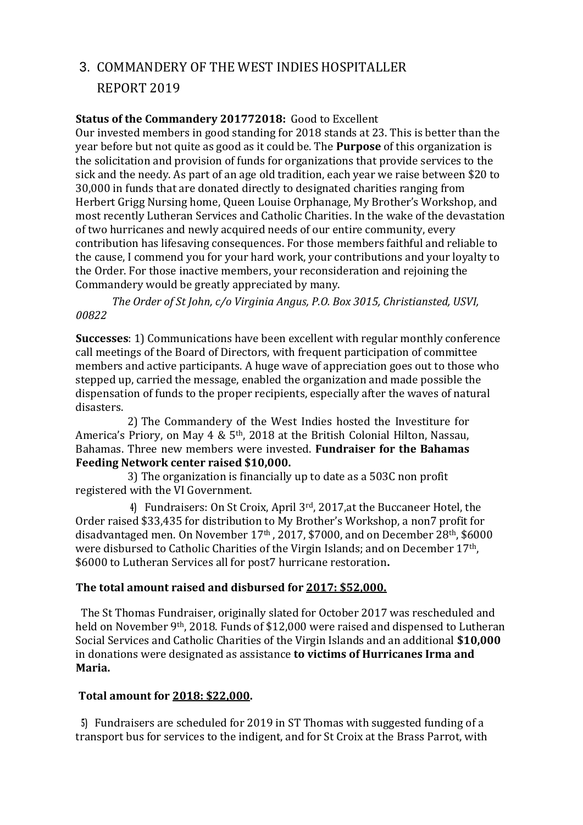# 3. COMMANDERY OF THE WEST INDIES HOSPITALLER REPORT 2019

#### **Status of the Commandery 201772018:** Good to Excellent

Our invested members in good standing for 2018 stands at 23. This is better than the year before but not quite as good as it could be. The **Purpose** of this organization is the solicitation and provision of funds for organizations that provide services to the sick and the needy. As part of an age old tradition, each year we raise between \$20 to 30,000 in funds that are donated directly to designated charities ranging from Herbert Grigg Nursing home, Queen Louise Orphanage, My Brother's Workshop, and most recently Lutheran Services and Catholic Charities. In the wake of the devastation of two hurricanes and newly acquired needs of our entire community, every contribution has lifesaving consequences. For those members faithful and reliable to the cause, I commend you for your hard work, your contributions and your loyalty to the Order. For those inactive members, your reconsideration and rejoining the Commandery would be greatly appreciated by many.

*The Order of St John, c/o Virginia Angus, P.O. Box 3015, Christiansted, USVI, 00822*

**Successes**: 1) Communications have been excellent with regular monthly conference call meetings of the Board of Directors, with frequent participation of committee members and active participants. A huge wave of appreciation goes out to those who stepped up, carried the message, enabled the organization and made possible the dispensation of funds to the proper recipients, especially after the waves of natural disasters.

2) The Commandery of the West Indies hosted the Investiture for America's Priory, on May 4 &  $5<sup>th</sup>$ , 2018 at the British Colonial Hilton, Nassau, Bahamas. Three new members were invested. **Fundraiser for the Bahamas Feeding Network center raised \$10,000.**

3) The organization is financially up to date as a 503C non profit registered with the VI Government.

**4)** Fundraisers: On St Croix, April 3rd, 2017,at the Buccaneer Hotel, the Order raised \$33,435 for distribution to My Brother's Workshop, a non7 profit for disadvantaged men. On November 17th , 2017, \$7000, and on December 28th, \$6000 were disbursed to Catholic Charities of the Virgin Islands; and on December 17th, \$6000 to Lutheran Services all for post7 hurricane restoration**.**

## **The total amount raised and disbursed for 2017: \$52,000.**

The St Thomas Fundraiser, originally slated for October 2017 was rescheduled and held on November 9th, 2018. Funds of \$12,000 were raised and dispensed to Lutheran Social Services and Catholic Charities of the Virgin Islands and an additional **\$10,000**  in donations were designated as assistance **to victims of Hurricanes Irma and Maria.**

## **Total amount for 2018: \$22,000.**

**5)** Fundraisers are scheduled for 2019 in ST Thomas with suggested funding of a transport bus for services to the indigent, and for St Croix at the Brass Parrot, with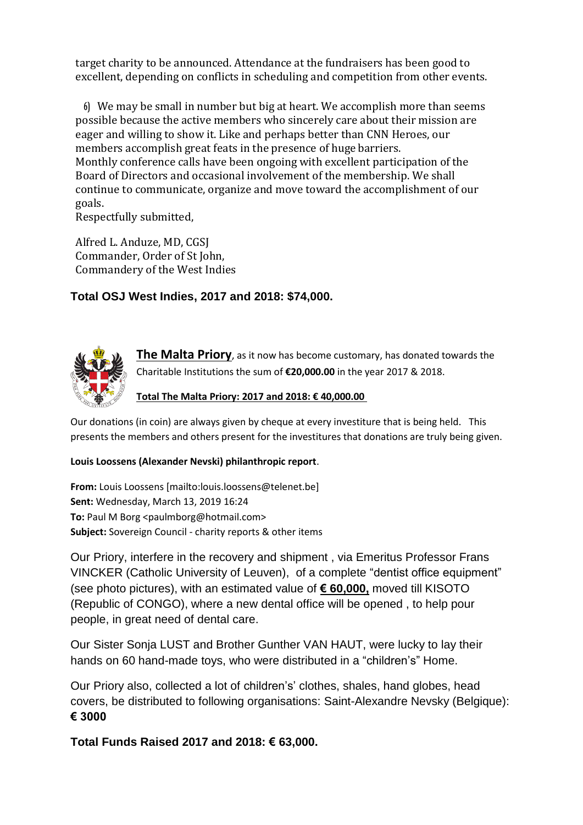target charity to be announced. Attendance at the fundraisers has been good to excellent, depending on conflicts in scheduling and competition from other events.

**6)** We may be small in number but big at heart. We accomplish more than seems possible because the active members who sincerely care about their mission are eager and willing to show it. Like and perhaps better than CNN Heroes, our members accomplish great feats in the presence of huge barriers. Monthly conference calls have been ongoing with excellent participation of the Board of Directors and occasional involvement of the membership. We shall continue to communicate, organize and move toward the accomplishment of our goals.

Respectfully submitted,

Alfred L. Anduze, MD, CGSJ Commander, Order of St John, Commandery of the West Indies

## **Total OSJ West Indies, 2017 and 2018: \$74,000.**



**The Malta Priory**, as it now has become customary, has donated towards the Charitable Institutions the sum of **€20,000.00** in the year 2017 & 2018.

#### **Total The Malta Priory: 2017 and 2018: € 40,000.00**

Our donations (in coin) are always given by cheque at every investiture that is being held. This presents the members and others present for the investitures that donations are truly being given.

#### **Louis Loossens (Alexander Nevski) philanthropic report**.

**From:** Louis Loossens [mailto:louis.loossens@telenet.be] **Sent:** Wednesday, March 13, 2019 16:24 **To:** Paul M Borg <paulmborg@hotmail.com> **Subject:** Sovereign Council - charity reports & other items

Our Priory, interfere in the recovery and shipment , via Emeritus Professor Frans VINCKER (Catholic University of Leuven), of a complete "dentist office equipment" (see photo pictures), with an estimated value of **€ 60,000,** moved till KISOTO (Republic of CONGO), where a new dental office will be opened , to help pour people, in great need of dental care.

Our Sister Sonja LUST and Brother Gunther VAN HAUT, were lucky to lay their hands on 60 hand-made toys, who were distributed in a "children's" Home.

Our Priory also, collected a lot of children's' clothes, shales, hand globes, head covers, be distributed to following organisations: Saint-Alexandre Nevsky (Belgique): **€ 3000**

**Total Funds Raised 2017 and 2018: € 63,000.**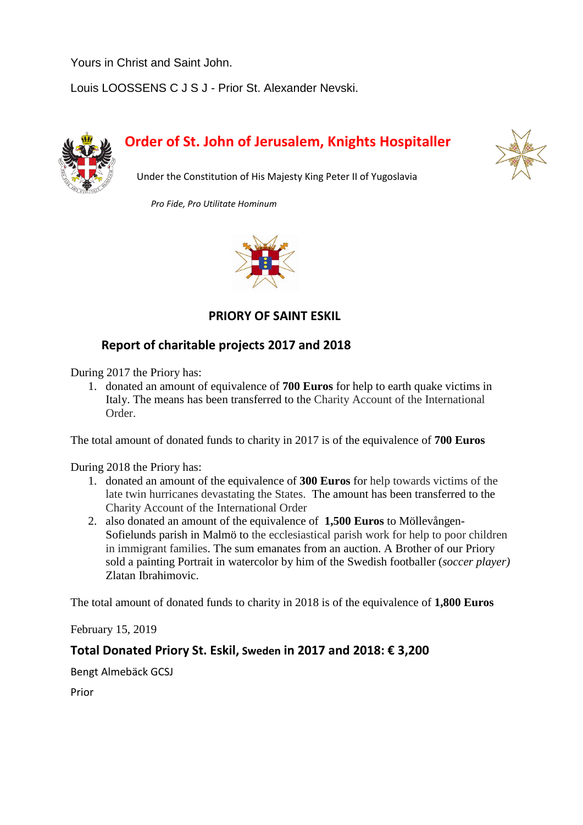Yours in Christ and Saint John.

Louis LOOSSENS C J S J - Prior St. Alexander Nevski.



# **Order of St. John of Jerusalem, Knights Hospitaller**



Under the Constitution of His Majesty King Peter II of Yugoslavia

 *Pro Fide, Pro Utilitate Hominum*



 **PRIORY OF SAINT ESKIL** 

## **Report of charitable projects 2017 and 2018**

During 2017 the Priory has:

1. donated an amount of equivalence of **700 Euros** for help to earth quake victims in Italy. The means has been transferred to the Charity Account of the International Order.

The total amount of donated funds to charity in 2017 is of the equivalence of **700 Euros**

During 2018 the Priory has:

- 1. donated an amount of the equivalence of **300 Euros** for help towards victims of the late twin hurricanes devastating the States. The amount has been transferred to the Charity Account of the International Order
- 2. also donated an amount of the equivalence of **1,500 Euros** to Möllevången-Sofielunds parish in Malmö to the ecclesiastical parish work for help to poor children in immigrant families. The sum emanates from an auction. A Brother of our Priory sold a painting Portrait in watercolor by him of the Swedish footballer (*soccer player)* Zlatan Ibrahimovic.

The total amount of donated funds to charity in 2018 is of the equivalence of **1,800 Euros**

February 15, 2019

## **Total Donated Priory St. Eskil, Sweden in 2017 and 2018: € 3,200**

Bengt Almebäck GCSJ

Prior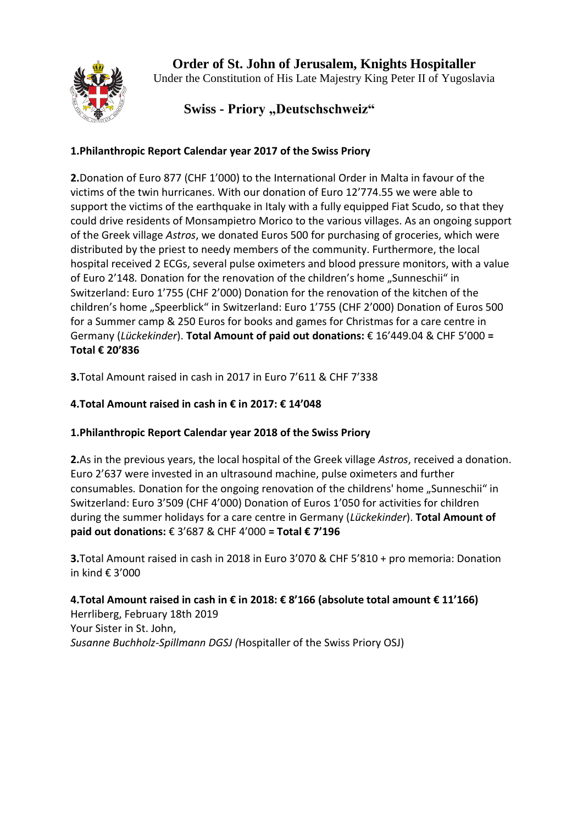

**Order of St. John of Jerusalem, Knights Hospitaller** Under the Constitution of His Late Majestry King Peter II of Yugoslavia

## **Swiss - Priory "Deutschschweiz"**

## **1.Philanthropic Report Calendar year 2017 of the Swiss Priory**

**2.**Donation of Euro 877 (CHF 1'000) to the International Order in Malta in favour of the victims of the twin hurricanes. With our donation of Euro 12'774.55 we were able to support the victims of the earthquake in Italy with a fully equipped Fiat Scudo, so that they could drive residents of Monsampietro Morico to the various villages. As an ongoing support of the Greek village *Astros*, we donated Euros 500 for purchasing of groceries, which were distributed by the priest to needy members of the community. Furthermore, the local hospital received 2 ECGs, several pulse oximeters and blood pressure monitors, with a value of Euro 2'148. Donation for the renovation of the children's home "Sunneschii" in Switzerland: Euro 1'755 (CHF 2'000) Donation for the renovation of the kitchen of the children's home "Speerblick" in Switzerland: Euro 1'755 (CHF 2'000) Donation of Euros 500 for a Summer camp & 250 Euros for books and games for Christmas for a care centre in Germany (*Lückekinder*). **Total Amount of paid out donations:** € 16'449.04 & CHF 5'000 **= Total € 20'836** 

**3.**Total Amount raised in cash in 2017 in Euro 7'611 & CHF 7'338

## **4.Total Amount raised in cash in € in 2017: € 14'048**

## **1.Philanthropic Report Calendar year 2018 of the Swiss Priory**

**2.**As in the previous years, the local hospital of the Greek village *Astros*, received a donation. Euro 2'637 were invested in an ultrasound machine, pulse oximeters and further consumables*.* Donation for the ongoing renovation of the childrens' home "Sunneschii" in Switzerland: Euro 3'509 (CHF 4'000) Donation of Euros 1'050 for activities for children during the summer holidays for a care centre in Germany (*Lückekinder*). **Total Amount of paid out donations:** € 3'687 & CHF 4'000 **= Total € 7'196** 

**3.**Total Amount raised in cash in 2018 in Euro 3'070 & CHF 5'810 + pro memoria: Donation in kind € 3'000

**4.Total Amount raised in cash in € in 2018: € 8'166 (absolute total amount € 11'166)**  Herrliberg, February 18th 2019 Your Sister in St. John, *Susanne Buchholz-Spillmann DGSJ (*Hospitaller of the Swiss Priory OSJ)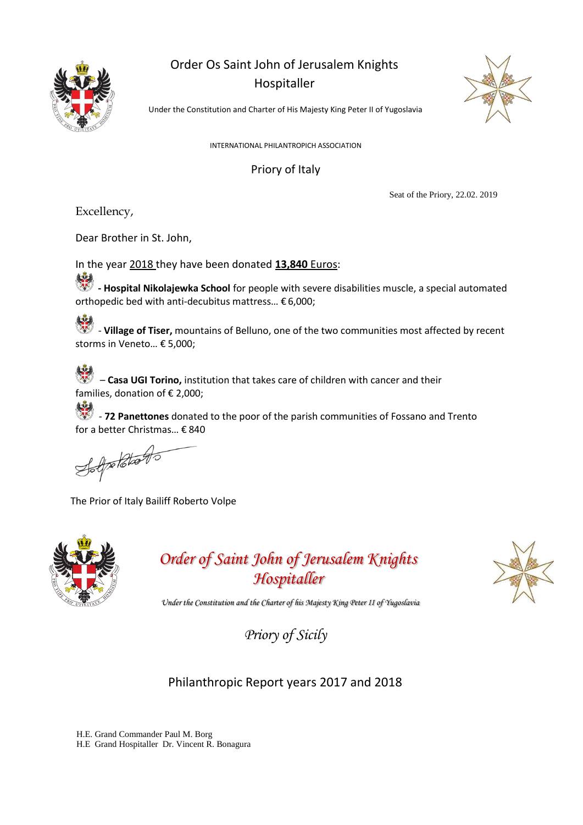

## Order Os Saint John of Jerusalem Knights Hospitaller



Under the Constitution and Charter of His Majesty King Peter II of Yugoslavia

INTERNATIONAL PHILANTROPICH ASSOCIATION

### Priory of Italy

Seat of the Priory, 22.02. 2019

Excellency,

Dear Brother in St. John,

In the year 2018 they have been donated **13,840** Euros:

**- Hospital Nikolajewka School** for people with severe disabilities muscle, a special automated orthopedic bed with anti-decubitus mattress… € 6,000;

- **Village of Tiser,** mountains of Belluno, one of the two communities most affected by recent storms in Veneto… € 5,000;

– **Casa UGI Torino,** institution that takes care of children with cancer and their families, donation of € 2,000;

- **72 Panettones** donated to the poor of the parish communities of Fossano and Trento for a better Christmas… € 840

Solpholdtons

The Prior of Italy Bailiff Roberto Volpe



*Order of Saint John of Jerusalem Knights Hospitaller*



*Under the Constitution and the Charter of his Majesty King Peter II of Yugoslavia*

*Priory of Sicily*

## Philanthropic Report years 2017 and 2018

H.E. Grand Commander Paul M. Borg H.E Grand Hospitaller Dr. Vincent R. Bonagura